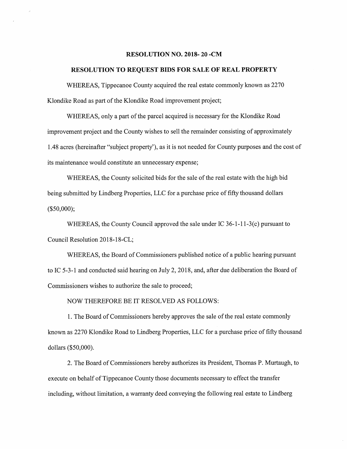## RESOLUTION NO. 2018-20 -CM

## RESOLUTION TO REQUEST BIDS FOR SALE OF REAL PROPERTY

WHEREAS, Tippecanoe County acquired the real estate commonly known as 2270 Klondike Road as part of the Klondike Road improvement project;

WHEREAS, only <sup>a</sup> part of the parcel acquired is necessary for the Klondike Road improvement project and the County wishes to sell the remainder consisting of approximately 1.48 acres (hereinafter "subject property"), as it is not needed for County purposes and the cost of its maintenance would constitute an unnecessary expense;

WHEREAS, the County solicited bids for the sale of the real estate with the high bid being submitted by Lindberg Properties, LLC for <sup>a</sup> purchase price of fifty thousand dollars (\$50,000);

WHEREAS, the County Council approved the sale under IC 36-1—11-3(c) pursuant to Council Resolution 2018—18-CL;

WHEREAS, the Board of Commissioners published notice of <sup>a</sup> public hearing pursuant to IC 5—3-1 and conducted said hearing on July 2, 2018, and, after due deliberation the Board of Commissioners wishes to authorize the sale to proceed;

NOW THEREFORE BE IT RESOLVED AS FOLLOWS:

l. The Board of Commissioners hereby approves the sale of the real estate commonly known as 2270 Klondike Road to Lindberg Properties, LLC for <sup>a</sup> purchase price of fifty thousand dollars (\$50,000).

2. The Board of Commissioners hereby authorizes its President, Thomas P. Murtaugh, to execute on behalf of Tippecanoe County those documents necessary to effect the transfer including, without limitation, <sup>a</sup> warranty deed conveying the following real estate to Lindberg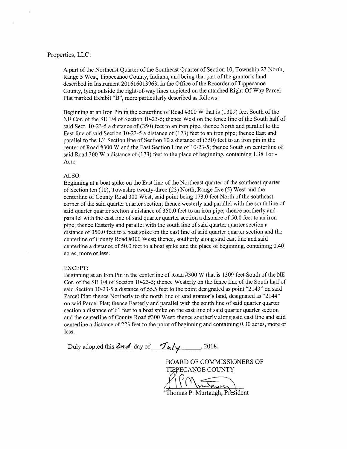# Properties, LLC:

A part of the Northeast Quarter of the Southeast Quarter of Section 10, Township <sup>23</sup> North, Range <sup>5</sup> West, Tippecanoe County, Indiana, and being that part of the grantor's land described in Instrument 201616013963, in the Office of the Recorder of Tippecanoe County, lying outside the right-of-way lines depicted on the attached Right-Of-Way Parcel Plat marked Exhibit "B", more particularly described as follows:

Beginning at an Iron Pin in the centerline of Road #3 <sup>00</sup> <sup>W</sup> that is (1309) feet South of the NE Cor. of the SE 1/4 of Section 10-23-5; thence West on the fence line of the South half of said Sect. 10-23-5 <sup>a</sup> distance of (350) feet to an iron pipe; thence North and parallel to the East line of said Section 10-23—5 <sup>a</sup> distance of (173) feet to an iron pipe; thence East and parallel to the 1/4 Section line of Section <sup>10</sup> <sup>a</sup> distance of (350) feet to an iron pin in the center of Road #300 W and the East Section Line of 10-23-5; thence South on centerline of said Road 300 W a distance of  $(173)$  feet to the place of beginning, containing 1.38 +or -Acre.

## ALSO:

Beginning at <sup>a</sup> boat spike on the East line of the Northeast quarter of the southeast quarter of Section ten (10), Township twenty-three (23) North, Range five (5) West and the centerline of County Road 300 West, said point being 173.0 feet North of the southeast corner of the said quarter quarter section; thence westerly and parallel with the south line of said quarter quarter section <sup>a</sup> distance of 350.0 feet to an iron pipe; thence northerly and parallel with the east line of said quarter quarter section <sup>a</sup> distance of 50.0 feet to an iron pipe; thence Easterly and parallel with the south line of said quarter quarter section <sup>a</sup> distance of 350.0 feet to <sup>a</sup> boat spike on the east line of said quarter quarter section and the centerline of County Road #3 00 West; thence, southerly along said east line and said centerline <sup>a</sup> distance of 50.0 feet to <sup>a</sup> boat spike and the place of beginning, containing 0.40 acres, more or less.

#### EXCEPT:

Beginning at an Iron Pin in the centerline of Road #300 <sup>W</sup> that is 1309 feet South of the NE Cor. of the SE 1/4 of Section 10-23-5; thence Westerly on the fence line of the South half of said Section 10-23-5 <sup>a</sup> distance of 55.5 feet to the point designated as point "2143" on said Parcel Plat; thence Northerly to the north line of said grantor's land, designated as "2144" on said Parcel Plat; thence Easterly and parallel with the south line of said quarter quarter section <sup>a</sup> distance of 61 feet to <sup>a</sup> boat spike on the east line of said quarter quarter section and the centerline of County Road #300 West; thence southerly along said east line and said centerline <sup>a</sup> distance of 223 feet to the point of beginning and containing 0.30 acres, more or less.

Duly adopted this  $2nd$  day of  $\frac{7d}{y}$ , 2018.

BOARD OF COMMISSIONERS OF TEPECANOE COUNTY i.

Thomas P. Murtaugh, President